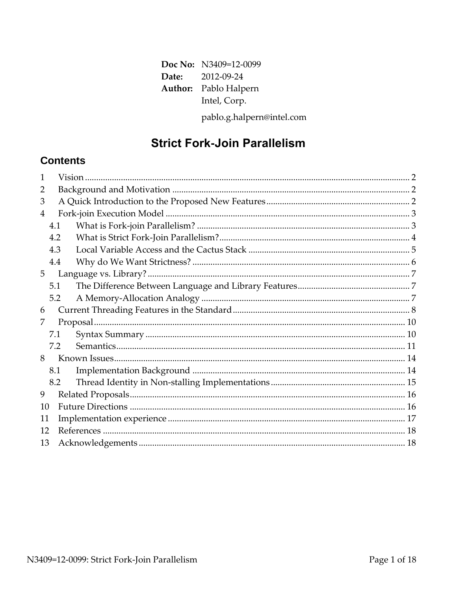| Doc No: N3409=12-0099        |
|------------------------------|
| <b>Date:</b> 2012-09-24      |
| <b>Author:</b> Pablo Halpern |
| Intel, Corp.                 |
| pablo.g.halpern@intel.com    |

# **Strict Fork-Join Parallelism**

# **Contents**

| 1              |     |  |  |  |
|----------------|-----|--|--|--|
| 2              |     |  |  |  |
| 3              |     |  |  |  |
| $\overline{4}$ |     |  |  |  |
|                | 4.1 |  |  |  |
|                | 4.2 |  |  |  |
|                | 4.3 |  |  |  |
|                | 4.4 |  |  |  |
| 5              |     |  |  |  |
|                | 5.1 |  |  |  |
|                | 5.2 |  |  |  |
| 6              |     |  |  |  |
| 7              |     |  |  |  |
|                | 7.1 |  |  |  |
|                | 7.2 |  |  |  |
| 8              |     |  |  |  |
|                | 8.1 |  |  |  |
|                | 8.2 |  |  |  |
| 9              |     |  |  |  |
| 10             |     |  |  |  |
|                | 11  |  |  |  |
|                | 12  |  |  |  |
| 13             |     |  |  |  |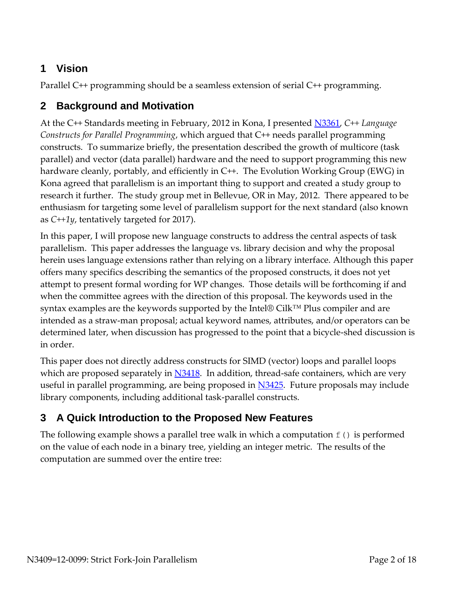# **1 Vision**

Parallel C++ programming should be a seamless extension of serial C++ programming.

# **2 Background and Motivation**

At the C++ Standards meeting in February, 2012 in Kona, I presented [N3361,](http://www.open-std.org/JTC1/SC22/WG21/docs/papers/2012/n3361.pdf) *C++ Language Constructs for Parallel Programming*, which argued that C++ needs parallel programming constructs. To summarize briefly, the presentation described the growth of multicore (task parallel) and vector (data parallel) hardware and the need to support programming this new hardware cleanly, portably, and efficiently in C++. The Evolution Working Group (EWG) in Kona agreed that parallelism is an important thing to support and created a study group to research it further. The study group met in Bellevue, OR in May, 2012. There appeared to be enthusiasm for targeting some level of parallelism support for the next standard (also known as *C++1y*, tentatively targeted for 2017).

In this paper, I will propose new language constructs to address the central aspects of task parallelism. This paper addresses the language vs. library decision and why the proposal herein uses language extensions rather than relying on a library interface. Although this paper offers many specifics describing the semantics of the proposed constructs, it does not yet attempt to present formal wording for WP changes. Those details will be forthcoming if and when the committee agrees with the direction of this proposal. The keywords used in the syntax examples are the keywords supported by the Intel® Cilk™ Plus compiler and are intended as a straw-man proposal; actual keyword names, attributes, and/or operators can be determined later, when discussion has progressed to the point that a bicycle-shed discussion is in order.

This paper does not directly address constructs for SIMD (vector) loops and parallel loops which are proposed separately in  $N3418$ . In addition, thread-safe containers, which are very useful in parallel programming, are being proposed in [N3425.](http://www.open-std.org/JTC1/SC22/WG21/docs/papers/2012/n3425.pdf) Future proposals may include library components, including additional task-parallel constructs.

# **3 A Quick Introduction to the Proposed New Features**

The following example shows a parallel tree walk in which a computation  $f(t)$  is performed on the value of each node in a binary tree, yielding an integer metric. The results of the computation are summed over the entire tree: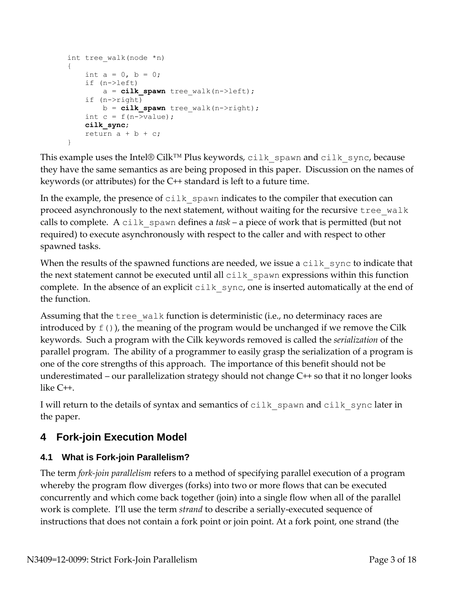```
int tree_walk(node *n)
{
   int a = 0, b = 0;
    if (n->left)
       a = cilk spawn tree walk(n->left);
    if (n->right)
      b = cilk spawn tree walk(n->right);
   int c = f(n->value);
    cilk_sync;
   return a + b + c;
}
```
This example uses the Intel® Cilk<sup>™</sup> Plus keywords, cilk spawn and cilk sync, because they have the same semantics as are being proposed in this paper. Discussion on the names of keywords (or attributes) for the C++ standard is left to a future time.

In the example, the presence of  $c$ ilk spawn indicates to the compiler that execution can proceed asynchronously to the next statement, without waiting for the recursive tree walk calls to complete. A  $\text{crit }$  spawn defines a *task* – a piece of work that is permitted (but not required) to execute asynchronously with respect to the caller and with respect to other spawned tasks.

When the results of the spawned functions are needed, we issue a  $\text{crit }$  sync to indicate that the next statement cannot be executed until all  $c$ ilk spawn expressions within this function complete. In the absence of an explicit  $\text{crit }$  sync, one is inserted automatically at the end of the function.

Assuming that the  $\text{tree}$  walk function is deterministic (i.e., no determinacy races are introduced by  $f(t)$ , the meaning of the program would be unchanged if we remove the Cilk keywords. Such a program with the Cilk keywords removed is called the *serialization* of the parallel program. The ability of a programmer to easily grasp the serialization of a program is one of the core strengths of this approach. The importance of this benefit should not be underestimated – our parallelization strategy should not change C++ so that it no longer looks like C++.

I will return to the details of syntax and semantics of cilk spawn and cilk sync later in the paper.

# **4 Fork-join Execution Model**

### **4.1 What is Fork-join Parallelism?**

The term *fork-join parallelism* refers to a method of specifying parallel execution of a program whereby the program flow diverges (forks) into two or more flows that can be executed concurrently and which come back together (join) into a single flow when all of the parallel work is complete. I'll use the term *strand* to describe a serially-executed sequence of instructions that does not contain a fork point or join point. At a fork point, one strand (the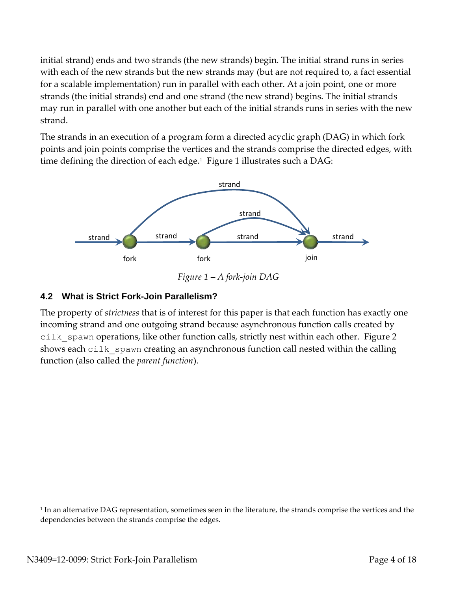initial strand) ends and two strands (the new strands) begin. The initial strand runs in series with each of the new strands but the new strands may (but are not required to, a fact essential for a scalable implementation) run in parallel with each other. At a join point, one or more strands (the initial strands) end and one strand (the new strand) begins. The initial strands may run in parallel with one another but each of the initial strands runs in series with the new strand.

The strands in an execution of a program form a directed acyclic graph (DAG) in which fork points and join points comprise the vertices and the strands comprise the directed edges, with time defining the direction of each edge.<sup>1</sup> Figure 1 illustrates such a DAG:



*Figure 1 – A fork-join DAG*

#### **4.2 What is Strict Fork-Join Parallelism?**

The property of *strictness* that is of interest for this paper is that each function has exactly one incoming strand and one outgoing strand because asynchronous function calls created by cilk spawn operations, like other function calls, strictly nest within each other. Figure 2 shows each cilk spawn creating an asynchronous function call nested within the calling function (also called the *parent function*).

 $\overline{a}$ 

<sup>1</sup> In an alternative DAG representation, sometimes seen in the literature, the strands comprise the vertices and the dependencies between the strands comprise the edges.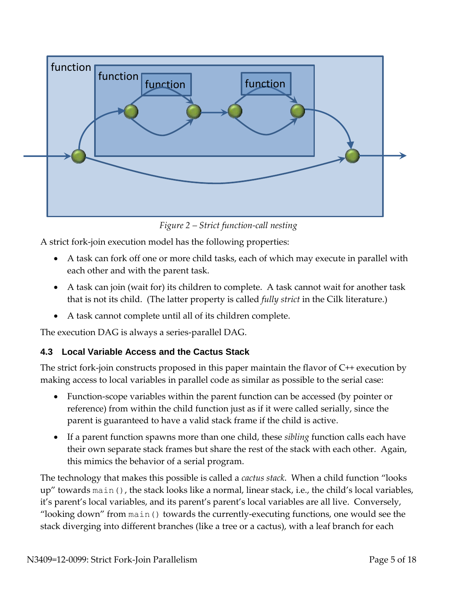

*Figure 2 – Strict function-call nesting*

A strict fork-join execution model has the following properties:

- A task can fork off one or more child tasks, each of which may execute in parallel with each other and with the parent task.
- A task can join (wait for) its children to complete. A task cannot wait for another task that is not its child. (The latter property is called *fully strict* in the Cilk literature.)
- A task cannot complete until all of its children complete.

The execution DAG is always a series-parallel DAG.

### **4.3 Local Variable Access and the Cactus Stack**

The strict fork-join constructs proposed in this paper maintain the flavor of C++ execution by making access to local variables in parallel code as similar as possible to the serial case:

- Function-scope variables within the parent function can be accessed (by pointer or reference) from within the child function just as if it were called serially, since the parent is guaranteed to have a valid stack frame if the child is active.
- If a parent function spawns more than one child, these *sibling* function calls each have their own separate stack frames but share the rest of the stack with each other. Again, this mimics the behavior of a serial program.

The technology that makes this possible is called a *cactus stack*. When a child function "looks up" towards main(), the stack looks like a normal, linear stack, i.e., the child's local variables, it's parent's local variables, and its parent's parent's local variables are all live. Conversely, "looking down" from main() towards the currently-executing functions, one would see the stack diverging into different branches (like a tree or a cactus), with a leaf branch for each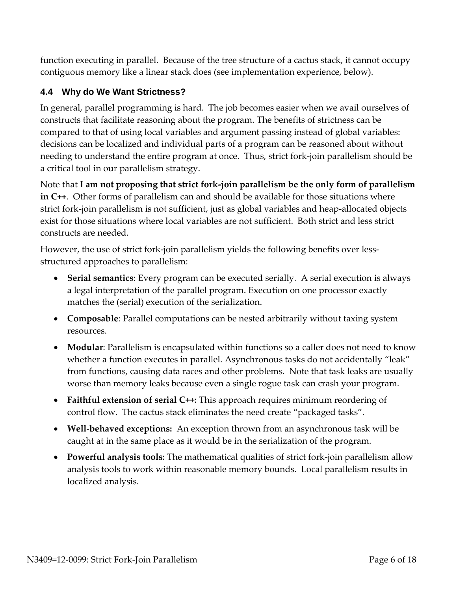function executing in parallel. Because of the tree structure of a cactus stack, it cannot occupy contiguous memory like a linear stack does (see implementation experience, below).

### **4.4 Why do We Want Strictness?**

In general, parallel programming is hard. The job becomes easier when we avail ourselves of constructs that facilitate reasoning about the program. The benefits of strictness can be compared to that of using local variables and argument passing instead of global variables: decisions can be localized and individual parts of a program can be reasoned about without needing to understand the entire program at once. Thus, strict fork-join parallelism should be a critical tool in our parallelism strategy.

Note that **I am not proposing that strict fork-join parallelism be the only form of parallelism in C++**. Other forms of parallelism can and should be available for those situations where strict fork-join parallelism is not sufficient, just as global variables and heap-allocated objects exist for those situations where local variables are not sufficient. Both strict and less strict constructs are needed.

However, the use of strict fork-join parallelism yields the following benefits over lessstructured approaches to parallelism:

- **Serial semantics**: Every program can be executed serially. A serial execution is always a legal interpretation of the parallel program. Execution on one processor exactly matches the (serial) execution of the serialization.
- **Composable**: Parallel computations can be nested arbitrarily without taxing system resources.
- **Modular**: Parallelism is encapsulated within functions so a caller does not need to know whether a function executes in parallel. Asynchronous tasks do not accidentally "leak" from functions, causing data races and other problems. Note that task leaks are usually worse than memory leaks because even a single rogue task can crash your program.
- **Faithful extension of serial C++:** This approach requires minimum reordering of control flow. The cactus stack eliminates the need create "packaged tasks".
- **Well-behaved exceptions:** An exception thrown from an asynchronous task will be caught at in the same place as it would be in the serialization of the program.
- **Powerful analysis tools:** The mathematical qualities of strict fork-join parallelism allow analysis tools to work within reasonable memory bounds. Local parallelism results in localized analysis.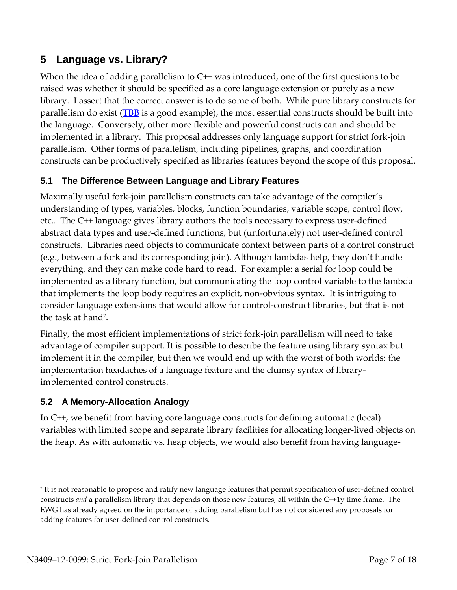## **5 Language vs. Library?**

When the idea of adding parallelism to C<sup>++</sup> was introduced, one of the first questions to be raised was whether it should be specified as a core language extension or purely as a new library. I assert that the correct answer is to do some of both. While pure library constructs for parallelism do exist ( $TBB$  is a good example), the most essential constructs should be built into the language. Conversely, other more flexible and powerful constructs can and should be implemented in a library. This proposal addresses only language support for strict fork-join parallelism. Other forms of parallelism, including pipelines, graphs, and coordination constructs can be productively specified as libraries features beyond the scope of this proposal.

### **5.1 The Difference Between Language and Library Features**

Maximally useful fork-join parallelism constructs can take advantage of the compiler's understanding of types, variables, blocks, function boundaries, variable scope, control flow, etc.. The C++ language gives library authors the tools necessary to express user-defined abstract data types and user-defined functions, but (unfortunately) not user-defined control constructs. Libraries need objects to communicate context between parts of a control construct (e.g., between a fork and its corresponding join). Although lambdas help, they don't handle everything, and they can make code hard to read. For example: a serial for loop could be implemented as a library function, but communicating the loop control variable to the lambda that implements the loop body requires an explicit, non-obvious syntax. It is intriguing to consider language extensions that would allow for control-construct libraries, but that is not the task at hand<sup>2</sup>.

Finally, the most efficient implementations of strict fork-join parallelism will need to take advantage of compiler support. It is possible to describe the feature using library syntax but implement it in the compiler, but then we would end up with the worst of both worlds: the implementation headaches of a language feature and the clumsy syntax of libraryimplemented control constructs.

### **5.2 A Memory-Allocation Analogy**

In C++, we benefit from having core language constructs for defining automatic (local) variables with limited scope and separate library facilities for allocating longer-lived objects on the heap. As with automatic vs. heap objects, we would also benefit from having language-

 $\overline{a}$ 

<sup>2</sup> It is not reasonable to propose and ratify new language features that permit specification of user-defined control constructs *and* a parallelism library that depends on those new features, all within the C++1y time frame. The EWG has already agreed on the importance of adding parallelism but has not considered any proposals for adding features for user-defined control constructs.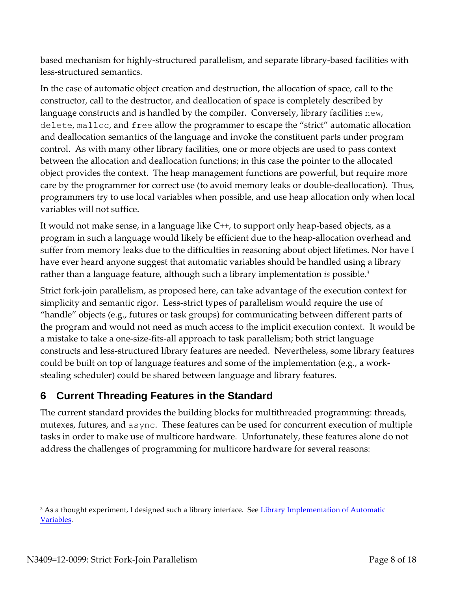based mechanism for highly-structured parallelism, and separate library-based facilities with less-structured semantics.

In the case of automatic object creation and destruction, the allocation of space, call to the constructor, call to the destructor, and deallocation of space is completely described by language constructs and is handled by the compiler. Conversely, library facilities new, delete, malloc, and free allow the programmer to escape the "strict" automatic allocation and deallocation semantics of the language and invoke the constituent parts under program control. As with many other library facilities, one or more objects are used to pass context between the allocation and deallocation functions; in this case the pointer to the allocated object provides the context. The heap management functions are powerful, but require more care by the programmer for correct use (to avoid memory leaks or double-deallocation). Thus, programmers try to use local variables when possible, and use heap allocation only when local variables will not suffice.

It would not make sense, in a language like C++, to support only heap-based objects, as a program in such a language would likely be efficient due to the heap-allocation overhead and suffer from memory leaks due to the difficulties in reasoning about object lifetimes. Nor have I have ever heard anyone suggest that automatic variables should be handled using a library rather than a language feature, although such a library implementation *is* possible. 3

Strict fork-join parallelism, as proposed here, can take advantage of the execution context for simplicity and semantic rigor. Less-strict types of parallelism would require the use of "handle" objects (e.g., futures or task groups) for communicating between different parts of the program and would not need as much access to the implicit execution context. It would be a mistake to take a one-size-fits-all approach to task parallelism; both strict language constructs and less-structured library features are needed. Nevertheless, some library features could be built on top of language features and some of the implementation (e.g., a workstealing scheduler) could be shared between language and library features.

# **6 Current Threading Features in the Standard**

The current standard provides the building blocks for multithreaded programming: threads, mutexes, futures, and async. These features can be used for concurrent execution of multiple tasks in order to make use of multicore hardware. Unfortunately, these features alone do not address the challenges of programming for multicore hardware for several reasons:

 $\overline{a}$ 

<sup>&</sup>lt;sup>3</sup> As a thought experiment, I designed such a library interface. See Library Implementation of Automatic [Variables.](http://www.halpernwightsoftware.com/WG21/Library_Implementation_of_Automatic_Variables.html)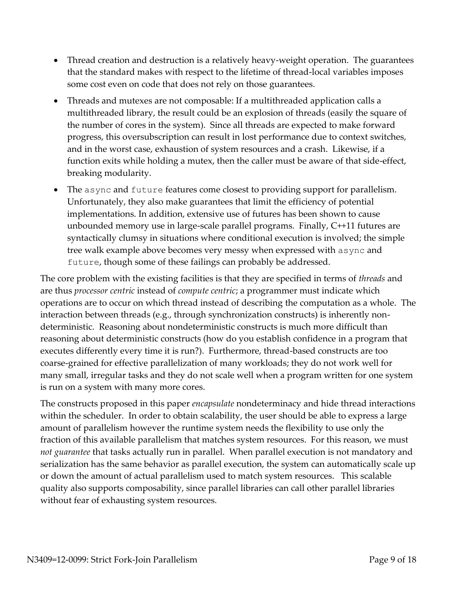- Thread creation and destruction is a relatively heavy-weight operation. The guarantees that the standard makes with respect to the lifetime of thread-local variables imposes some cost even on code that does not rely on those guarantees.
- Threads and mutexes are not composable: If a multithreaded application calls a multithreaded library, the result could be an explosion of threads (easily the square of the number of cores in the system). Since all threads are expected to make forward progress, this oversubscription can result in lost performance due to context switches, and in the worst case, exhaustion of system resources and a crash. Likewise, if a function exits while holding a mutex, then the caller must be aware of that side-effect, breaking modularity.
- The async and future features come closest to providing support for parallelism. Unfortunately, they also make guarantees that limit the efficiency of potential implementations. In addition, extensive use of futures has been shown to cause unbounded memory use in large-scale parallel programs. Finally, C++11 futures are syntactically clumsy in situations where conditional execution is involved; the simple tree walk example above becomes very messy when expressed with async and future, though some of these failings can probably be addressed.

The core problem with the existing facilities is that they are specified in terms of *threads* and are thus *processor centric* instead of *compute centric*; a programmer must indicate which operations are to occur on which thread instead of describing the computation as a whole. The interaction between threads (e.g., through synchronization constructs) is inherently nondeterministic. Reasoning about nondeterministic constructs is much more difficult than reasoning about deterministic constructs (how do you establish confidence in a program that executes differently every time it is run?). Furthermore, thread-based constructs are too coarse-grained for effective parallelization of many workloads; they do not work well for many small, irregular tasks and they do not scale well when a program written for one system is run on a system with many more cores.

The constructs proposed in this paper *encapsulate* nondeterminacy and hide thread interactions within the scheduler. In order to obtain scalability, the user should be able to express a large amount of parallelism however the runtime system needs the flexibility to use only the fraction of this available parallelism that matches system resources. For this reason, we must *not guarantee* that tasks actually run in parallel. When parallel execution is not mandatory and serialization has the same behavior as parallel execution, the system can automatically scale up or down the amount of actual parallelism used to match system resources. This scalable quality also supports composability, since parallel libraries can call other parallel libraries without fear of exhausting system resources.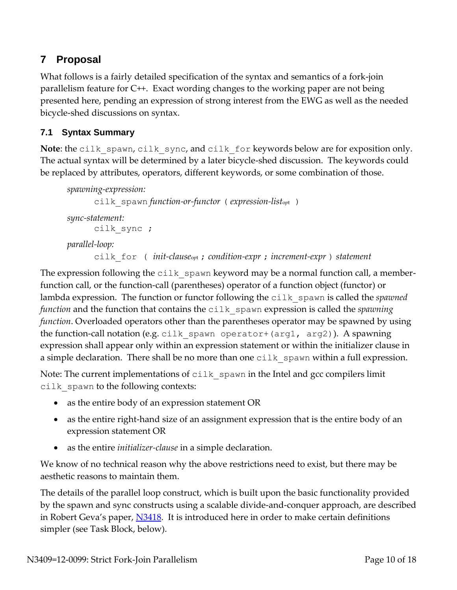# **7 Proposal**

What follows is a fairly detailed specification of the syntax and semantics of a fork-join parallelism feature for C++. Exact wording changes to the working paper are not being presented here, pending an expression of strong interest from the EWG as well as the needed bicycle-shed discussions on syntax.

### **7.1 Syntax Summary**

**Note**: the cilk spawn, cilk sync, and cilk for keywords below are for exposition only. The actual syntax will be determined by a later bicycle-shed discussion. The keywords could be replaced by attributes, operators, different keywords, or some combination of those.

```
spawning-expression:
      cilk_spawn function-or-functor ( expression-listopt )
sync-statement:
      cilk_sync ;
parallel-loop:
      cilk_for ( init-clauseopt ; condition-expr ; increment-expr ) statement
```
The expression following the cilk spawn keyword may be a normal function call, a memberfunction call, or the function-call (parentheses) operator of a function object (functor) or lambda expression. The function or functor following the cilk spawn is called the *spawned function* and the function that contains the cilk spawn expression is called the *spawning function*. Overloaded operators other than the parentheses operator may be spawned by using the function-call notation (e.g. cilk spawn operator+(arg1, arg2)). A spawning expression shall appear only within an expression statement or within the initializer clause in a simple declaration. There shall be no more than one cilk spawn within a full expression.

Note: The current implementations of cilk spawn in the Intel and gcc compilers limit cilk spawn to the following contexts:

- as the entire body of an expression statement OR
- as the entire right-hand size of an assignment expression that is the entire body of an expression statement OR
- as the entire *initializer-clause* in a simple declaration.

We know of no technical reason why the above restrictions need to exist, but there may be aesthetic reasons to maintain them.

The details of the parallel loop construct, which is built upon the basic functionality provided by the spawn and sync constructs using a scalable divide-and-conquer approach, are described in Robert Geva's paper, [N3418.](http://www.open-std.org/JTC1/SC22/WG21/docs/papers/2012/n3418.pdf) It is introduced here in order to make certain definitions simpler (see Task Block, below).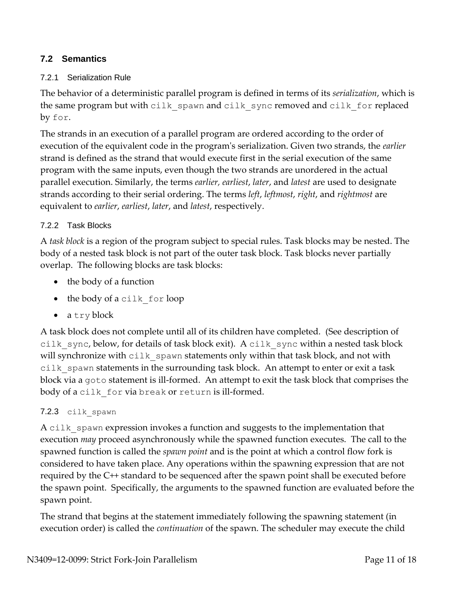### **7.2 Semantics**

#### 7.2.1 Serialization Rule

The behavior of a deterministic parallel program is defined in terms of its *serialization*, which is the same program but with cilk spawn and cilk sync removed and cilk for replaced by for.

The strands in an execution of a parallel program are ordered according to the order of execution of the equivalent code in the program's serialization. Given two strands, the *earlier* strand is defined as the strand that would execute first in the serial execution of the same program with the same inputs, even though the two strands are unordered in the actual parallel execution. Similarly, the terms *earlier, earliest*, *later*, and *latest* are used to designate strands according to their serial ordering. The terms *left*, *leftmost*, *right*, and *rightmost* are equivalent to *earlier*, *earliest*, *later*, and *latest*, respectively.

#### 7.2.2 Task Blocks

A *task block* is a region of the program subject to special rules. Task blocks may be nested. The body of a nested task block is not part of the outer task block. Task blocks never partially overlap. The following blocks are task blocks:

- the body of a function
- the body of a cilk for loop
- a try block

A task block does not complete until all of its children have completed. (See description of cilk sync, below, for details of task block exit). A cilk sync within a nested task block will synchronize with cilk spawn statements only within that task block, and not with cilk spawn statements in the surrounding task block. An attempt to enter or exit a task block via a goto statement is ill-formed. An attempt to exit the task block that comprises the body of a cilk for via break or return is ill-formed.

#### 7.2.3 cilk spawn

A cilk spawn expression invokes a function and suggests to the implementation that execution *may* proceed asynchronously while the spawned function executes. The call to the spawned function is called the *spawn point* and is the point at which a control flow fork is considered to have taken place. Any operations within the spawning expression that are not required by the C++ standard to be sequenced after the spawn point shall be executed before the spawn point. Specifically, the arguments to the spawned function are evaluated before the spawn point.

The strand that begins at the statement immediately following the spawning statement (in execution order) is called the *continuation* of the spawn. The scheduler may execute the child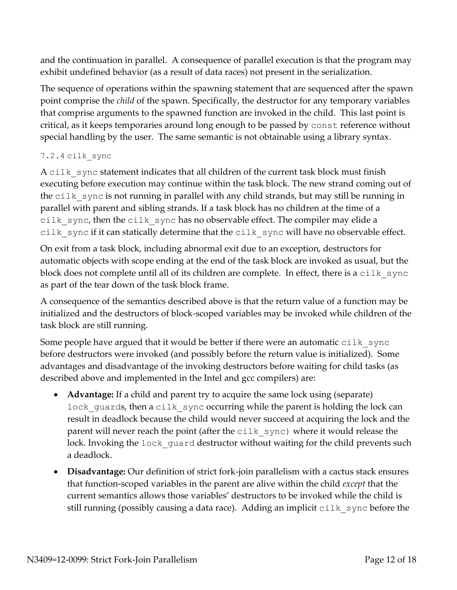and the continuation in parallel. A consequence of parallel execution is that the program may exhibit undefined behavior (as a result of data races) not present in the serialization.

The sequence of operations within the spawning statement that are sequenced after the spawn point comprise the *child* of the spawn. Specifically, the destructor for any temporary variables that comprise arguments to the spawned function are invoked in the child. This last point is critical, as it keeps temporaries around long enough to be passed by const reference without special handling by the user. The same semantic is not obtainable using a library syntax.

#### 7.2.4 cilk\_sync

A cilk sync statement indicates that all children of the current task block must finish executing before execution may continue within the task block. The new strand coming out of the  $cilk$  sync is not running in parallel with any child strands, but may still be running in parallel with parent and sibling strands. If a task block has no children at the time of a cilk sync, then the cilk sync has no observable effect. The compiler may elide a cilk sync if it can statically determine that the cilk sync will have no observable effect.

On exit from a task block, including abnormal exit due to an exception, destructors for automatic objects with scope ending at the end of the task block are invoked as usual, but the block does not complete until all of its children are complete. In effect, there is a  $\text{crit }$  sync as part of the tear down of the task block frame.

A consequence of the semantics described above is that the return value of a function may be initialized and the destructors of block-scoped variables may be invoked while children of the task block are still running.

Some people have argued that it would be better if there were an automatic  $\text{crit}$  sync before destructors were invoked (and possibly before the return value is initialized). Some advantages and disadvantage of the invoking destructors before waiting for child tasks (as described above and implemented in the Intel and gcc compilers) are:

- **Advantage:** If a child and parent try to acquire the same lock using (separate) lock guards, then a cilk sync occurring while the parent is holding the lock can result in deadlock because the child would never succeed at acquiring the lock and the parent will never reach the point (after the  $cilk$  sync) where it would release the lock. Invoking the lock quard destructor without waiting for the child prevents such a deadlock.
- **Disadvantage:** Our definition of strict fork-join parallelism with a cactus stack ensures that function-scoped variables in the parent are alive within the child *except* that the current semantics allows those variables' destructors to be invoked while the child is still running (possibly causing a data race). Adding an implicit  $\text{crit } s$  ync before the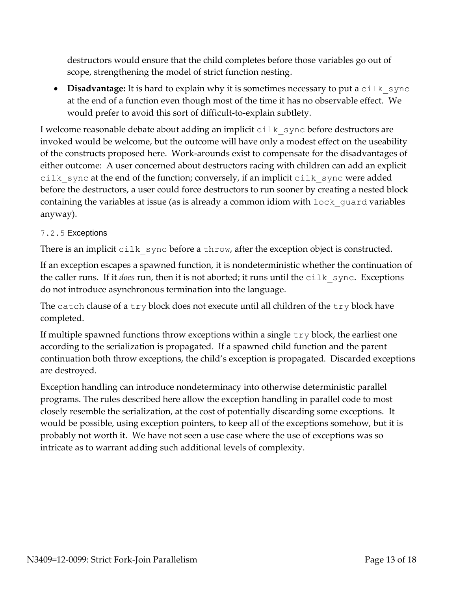destructors would ensure that the child completes before those variables go out of scope, strengthening the model of strict function nesting.

• Disadvantage: It is hard to explain why it is sometimes necessary to put a cilk sync at the end of a function even though most of the time it has no observable effect. We would prefer to avoid this sort of difficult-to-explain subtlety.

I welcome reasonable debate about adding an implicit  $\text{crit } s$  ync before destructors are invoked would be welcome, but the outcome will have only a modest effect on the useability of the constructs proposed here. Work-arounds exist to compensate for the disadvantages of either outcome: A user concerned about destructors racing with children can add an explicit cilk sync at the end of the function; conversely, if an implicit cilk sync were added before the destructors, a user could force destructors to run sooner by creating a nested block containing the variables at issue (as is already a common idiom with lock\_guard variables anyway).

#### 7.2.5 Exceptions

There is an implicit cilk sync before a throw, after the exception object is constructed.

If an exception escapes a spawned function, it is nondeterministic whether the continuation of the caller runs. If it *does* run, then it is not aborted; it runs until the cilk sync. Exceptions do not introduce asynchronous termination into the language.

The catch clause of a try block does not execute until all children of the try block have completed.

If multiple spawned functions throw exceptions within a single try block, the earliest one according to the serialization is propagated. If a spawned child function and the parent continuation both throw exceptions, the child's exception is propagated. Discarded exceptions are destroyed.

Exception handling can introduce nondeterminacy into otherwise deterministic parallel programs. The rules described here allow the exception handling in parallel code to most closely resemble the serialization, at the cost of potentially discarding some exceptions. It would be possible, using exception pointers, to keep all of the exceptions somehow, but it is probably not worth it. We have not seen a use case where the use of exceptions was so intricate as to warrant adding such additional levels of complexity.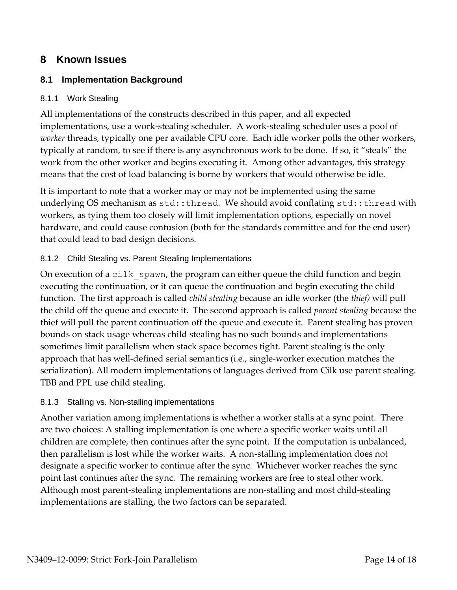## **8 Known Issues**

### **8.1 Implementation Background**

#### 8.1.1 Work Stealing

All implementations of the constructs described in this paper, and all expected implementations, use a work-stealing scheduler. A work-stealing scheduler uses a pool of *worker* threads, typically one per available CPU core. Each idle worker polls the other workers, typically at random, to see if there is any asynchronous work to be done. If so, it "steals" the work from the other worker and begins executing it. Among other advantages, this strategy means that the cost of load balancing is borne by workers that would otherwise be idle.

It is important to note that a worker may or may not be implemented using the same underlying OS mechanism as std::thread. We should avoid conflating std::thread with workers, as tying them too closely will limit implementation options, especially on novel hardware, and could cause confusion (both for the standards committee and for the end user) that could lead to bad design decisions.

#### 8.1.2 Child Stealing vs. Parent Stealing Implementations

On execution of a cilk spawn, the program can either queue the child function and begin executing the continuation, or it can queue the continuation and begin executing the child function. The first approach is called *child stealing* because an idle worker (the *thief)* will pull the child off the queue and execute it. The second approach is called *parent stealing* because the thief will pull the parent continuation off the queue and execute it. Parent stealing has proven bounds on stack usage whereas child stealing has no such bounds and implementations sometimes limit parallelism when stack space becomes tight. Parent stealing is the only approach that has well-defined serial semantics (i.e., single-worker execution matches the serialization). All modern implementations of languages derived from Cilk use parent stealing. TBB and PPL use child stealing.

#### 8.1.3 Stalling vs. Non-stalling implementations

Another variation among implementations is whether a worker stalls at a sync point. There are two choices: A stalling implementation is one where a specific worker waits until all children are complete, then continues after the sync point. If the computation is unbalanced, then parallelism is lost while the worker waits. A non-stalling implementation does not designate a specific worker to continue after the sync. Whichever worker reaches the sync point last continues after the sync. The remaining workers are free to steal other work. Although most parent-stealing implementations are non-stalling and most child-stealing implementations are stalling, the two factors can be separated.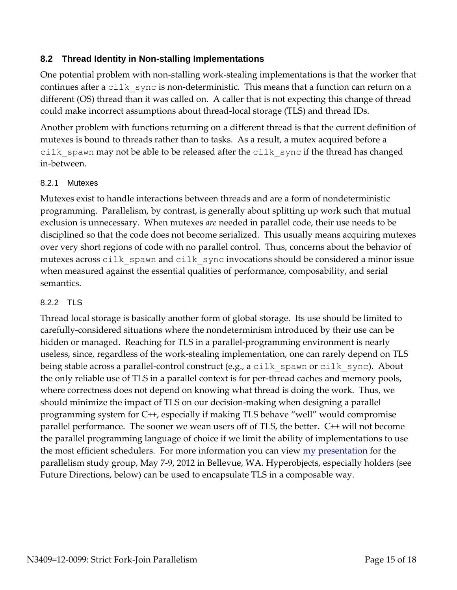### **8.2 Thread Identity in Non-stalling Implementations**

One potential problem with non-stalling work-stealing implementations is that the worker that continues after a cilk sync is non-deterministic. This means that a function can return on a different (OS) thread than it was called on. A caller that is not expecting this change of thread could make incorrect assumptions about thread-local storage (TLS) and thread IDs.

Another problem with functions returning on a different thread is that the current definition of mutexes is bound to threads rather than to tasks. As a result, a mutex acquired before a cilk spawn may not be able to be released after the cilk sync if the thread has changed in-between.

#### 8.2.1 Mutexes

Mutexes exist to handle interactions between threads and are a form of nondeterministic programming. Parallelism, by contrast, is generally about splitting up work such that mutual exclusion is unnecessary. When mutexes *are* needed in parallel code, their use needs to be disciplined so that the code does not become serialized. This usually means acquiring mutexes over very short regions of code with no parallel control. Thus, concerns about the behavior of mutexes across cilk spawn and cilk sync invocations should be considered a minor issue when measured against the essential qualities of performance, composability, and serial semantics.

#### 8.2.2 TLS

Thread local storage is basically another form of global storage. Its use should be limited to carefully-considered situations where the nondeterminism introduced by their use can be hidden or managed. Reaching for TLS in a parallel-programming environment is nearly useless, since, regardless of the work-stealing implementation, one can rarely depend on TLS being stable across a parallel-control construct (e.g., a cilk spawn or cilk sync). About the only reliable use of TLS in a parallel context is for per-thread caches and memory pools, where correctness does not depend on knowing what thread is doing the work. Thus, we should minimize the impact of TLS on our decision-making when designing a parallel programming system for C++, especially if making TLS behave "well" would compromise parallel performance. The sooner we wean users off of TLS, the better. C++ will not become the parallel programming language of choice if we limit the ability of implementations to use the most efficient schedulers. For more information you can view **my presentation** for the parallelism study group, May 7-9, 2012 in Bellevue, WA. Hyperobjects, especially holders (see Future Directions, below) can be used to encapsulate TLS in a composable way.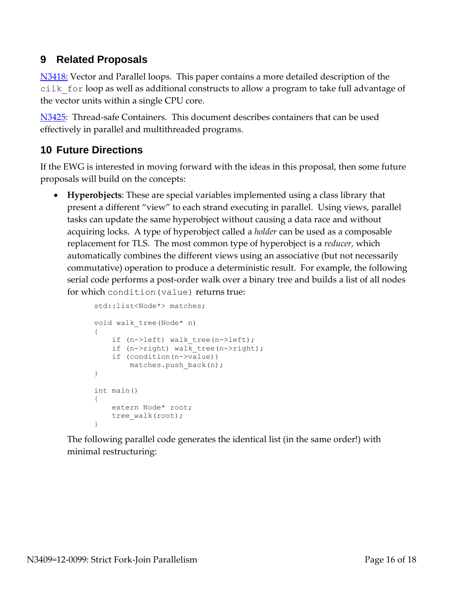## **9 Related Proposals**

[N3418:](http://www.open-std.org/JTC1/SC22/WG21/docs/papers/2012/n3418.pdf) Vector and Parallel loops. This paper contains a more detailed description of the cilk\_for loop as well as additional constructs to allow a program to take full advantage of the vector units within a single CPU core.

[N3425:](http://www.open-std.org/JTC1/SC22/WG21/docs/papers/2012/n3425.pdf) Thread-safe Containers. This document describes containers that can be used effectively in parallel and multithreaded programs.

# **10 Future Directions**

If the EWG is interested in moving forward with the ideas in this proposal, then some future proposals will build on the concepts:

 **Hyperobjects**: These are special variables implemented using a class library that present a different "view" to each strand executing in parallel. Using views, parallel tasks can update the same hyperobject without causing a data race and without acquiring locks. A type of hyperobject called a *holder* can be used as a composable replacement for TLS. The most common type of hyperobject is a *reducer*, which automatically combines the different views using an associative (but not necessarily commutative) operation to produce a deterministic result. For example, the following serial code performs a post-order walk over a binary tree and builds a list of all nodes for which condition(value) returns true:

```
std::list<Node*> matches;
void walk_tree(Node* n)
{
    if (n->left) walk tree(n->left);
   if (n->right) walk tree(n->right);
     if (condition(n->value))
       matches.push back(n);
}
int main()
{
    extern Node* root;
   tree walk(root);
}
```
The following parallel code generates the identical list (in the same order!) with minimal restructuring: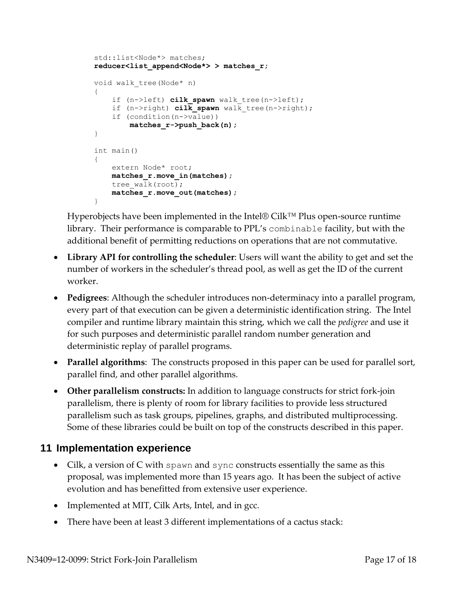```
std::list<Node*> matches;
reducer<list_append<Node*> > matches_r;
void walk_tree(Node* n)
{
    if (n->left) cilk spawn walk tree(n->left);
   if (n->right) cilk spawn walk tree(n->right);
     if (condition(n->value))
        matches_r->push_back(n);
}
int main()
{
    extern Node* root;
     matches_r.move_in(matches);
   tree walk(root);
    matches_r.move_out(matches);
}
```
Hyperobjects have been implemented in the Intel® Cilk™ Plus open-source runtime library. Their performance is comparable to PPL's combinable facility, but with the additional benefit of permitting reductions on operations that are not commutative.

- **Library API for controlling the scheduler**: Users will want the ability to get and set the number of workers in the scheduler's thread pool, as well as get the ID of the current worker.
- **Pedigrees**: Although the scheduler introduces non-determinacy into a parallel program, every part of that execution can be given a deterministic identification string. The Intel compiler and runtime library maintain this string, which we call the *pedigree* and use it for such purposes and deterministic parallel random number generation and deterministic replay of parallel programs.
- **Parallel algorithms**: The constructs proposed in this paper can be used for parallel sort, parallel find, and other parallel algorithms.
- **Other parallelism constructs:** In addition to language constructs for strict fork-join parallelism, there is plenty of room for library facilities to provide less structured parallelism such as task groups, pipelines, graphs, and distributed multiprocessing. Some of these libraries could be built on top of the constructs described in this paper.

## **11 Implementation experience**

- Cilk, a version of  $C$  with spawn and sync constructs essentially the same as this proposal, was implemented more than 15 years ago. It has been the subject of active evolution and has benefitted from extensive user experience.
- Implemented at MIT, Cilk Arts, Intel, and in gcc.
- There have been at least 3 different implementations of a cactus stack: